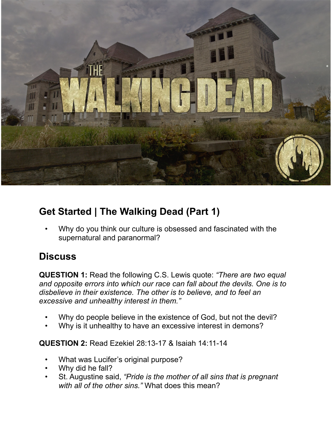

## **Get Started | The Walking Dead (Part 1)**

 • Why do you think our culture is obsessed and fascinated with the supernatural and paranormal?

## **Discuss**

**QUESTION 1:** Read the following C.S. Lewis quote: *"There are two equal and opposite errors into which our race can fall about the devils. One is to disbelieve in their existence. The other is to believe, and to feel an excessive and unhealthy interest in them."* 

- Why do people believe in the existence of God, but not the devil?
- Why is it unhealthy to have an excessive interest in demons?

**QUESTION 2:** Read Ezekiel 28:13-17 & Isaiah 14:11-14

- What was Lucifer's original purpose?
- Why did he fall?
- St. Augustine said, *"Pride is the mother of all sins that is pregnant with all of the other sins."* What does this mean?